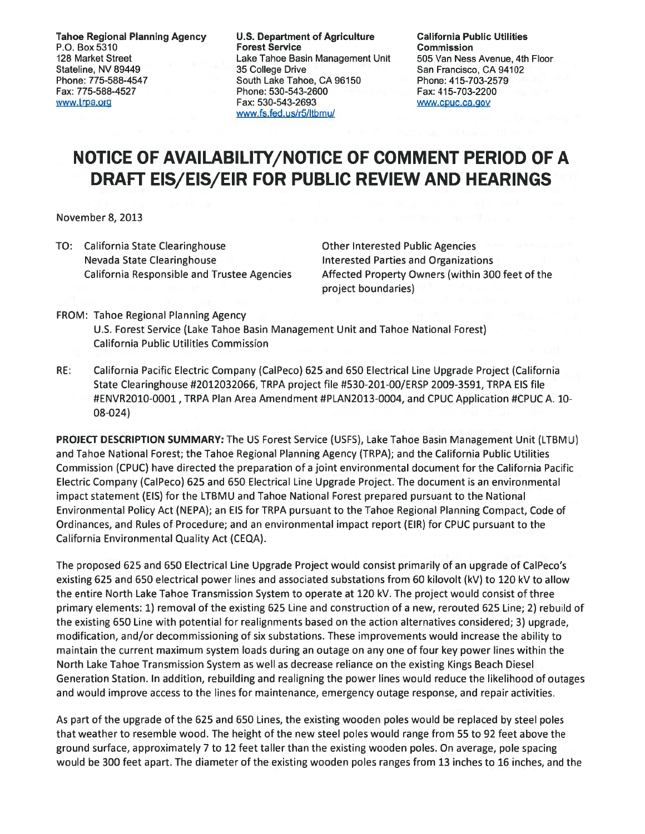Tahoe Regional Planning Agency U.S. Department of Agriculture California Public Utilities **Forest Service** 128 Market Street Lake Tahoe Basin Management Unit 505 Van Ness Avenue, 4th Floor Stateline, NV 89449 **35 College Drive San Francisco, CA 94102** San Francisco, CA 94102 Phone: 775-588-4547 South Lake Tahoe, CA 96150 Phone: 415-703-2579 Fax: 775-588-4527 Phone: 530-543-2600 Fax: 415-703-2200 www.trna.org Fax: 530-543-2693 www.cuc.ca.gov www.fs.fed.us/r5/ltbmu/

## NOTICE OF AVAILABILITY/NOTICE OF COMMENT PERIOD OF A DRAFT EIS/EIS/EIR FOR PUBLIC REVIEW AND HEARINGS

November 8, 2013

TO: California State Clearinghouse **Constrainers** Other Interested Public Agencies Nevada State Clearinghouse **Interested Parties and Organizations** 

California Responsible and Trustee Agencies Affected Property Owners (within 300 feet of the project boundaries)

- FROM: Tahoe Regional Planning Agency U.S. Forest Service (Lake Tahoe Basin Management Unit and Tahoe National Forest) California Public Utilities Commission
- RE: California Pacific Electric Company (CalPeco) 625 and 650 Electrical Line Upgrade Project (California State Clearinghouse #2012032066, TRPA project file #530-201-00/ERSP 2009-3591, TRPA EIS file #ENVR2O1O-0001 , TRPA Plan Area Amendment #PLAN2O13-0004, and CPUC Application #CPUC A. 10- 08-024)

PROJECT DESCRIPTION SUMMARY: The US Forest Service (USFS), Lake Tahoe Basin Management Unit (LTBMU) and Tahoe National Forest; the Tahoe Regional Planning Agency (TRPA); and the California Public Utilities Commission (CPUC) have directed the preparation of <sup>a</sup> joint environmental document for the California Pacific Electric Company (CalPeco) 625 and 650 Electrical Line Upgrade Project. The document is an environmental impact statement (EIS) for the LTBMU and Tahoe National Forest prepared pursuan<sup>t</sup> to the National Environmental Policy Act (NEPA); an EIS for TRPA pursuan<sup>t</sup> to the Tahoe Regional Planning Compact, Code of Ordinances, and Rules of Procedure; and an environmental impact repor<sup>t</sup> (EIR) for CPUC pursuan<sup>t</sup> to the California Environmental Quality Act (CEQA).

The proposed 625 and 650 Electrical Line Upgrade Project would consist primarily of an upgrade of CalPeco's existing 625 and 650 electrical power lines and associated substations from 60 kilovolt (kV) to 120 kV to allow the entire North Lake Tahoe Transmission System to operate at 120 kV. The project would consist of three primary elements: 1) removal of the existing 625 Line and construction of <sup>a</sup> new, rerouted 625 Line; 2) rebuild of the existing 650 Line with potential for realignments based on the action alternatives considered; 3) upgrade, modification, and/or decommissioning of six substations. These improvements would increase the ability to maintain the current maximum system loads during an outage on any one of four key power lines within the North Lake Tahoe Transmission System as well as decrease reliance on the existing Kings Beach Diesel Generation Station. In addition, rebuilding and realigning the power lines would reduce the likelihood of outages and would improve access to the lines for maintenance, emergency outage response, and repair activities.

As par<sup>t</sup> of the upgrade of the 625 and 650 Lines, the existing wooden poles would be replaced by steel poles that weather to resemble wood. The height of the new steel poles would range from 55 to 92 feet above the ground surface, approximately 7 to 12 feet taller than the existing wooden poles. On average, pole spacing would be 300 feet apart. The diameter of the existing wooden poles ranges from 13 inches to 16 inches, and the